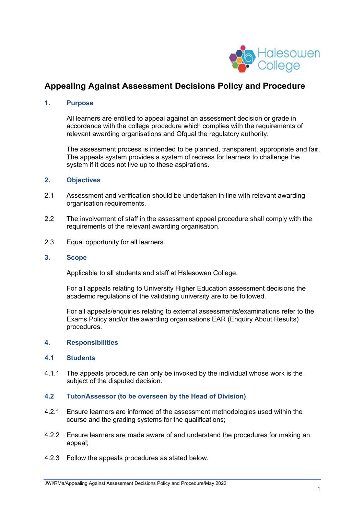

# **Appealing Against Assessment Decisions Policy and Procedure**

#### **1. Purpose**

All learners are entitled to appeal against an assessment decision or grade in accordance with the college procedure which complies with the requirements of relevant awarding organisations and Ofqual the regulatory authority.

The assessment process is intended to be planned, transparent, appropriate and fair. The appeals system provides a system of redress for learners to challenge the system if it does not live up to these aspirations.

## **2. Objectives**

- 2.1 Assessment and verification should be undertaken in line with relevant awarding organisation requirements.
- 2.2 The involvement of staff in the assessment appeal procedure shall comply with the requirements of the relevant awarding organisation.
- 2.3 Equal opportunity for all learners.
- **3. Scope**

Applicable to all students and staff at Halesowen College.

For all appeals relating to University Higher Education assessment decisions the academic regulations of the validating university are to be followed.

For all appeals/enquiries relating to external assessments/examinations refer to the Exams Policy and/or the awarding organisations EAR (Enquiry About Results) procedures.

#### **4. Responsibilities**

## **4.1 Students**

4.1.1 The appeals procedure can only be invoked by the individual whose work is the subject of the disputed decision.

# **4.2 Tutor/Assessor (to be overseen by the Head of Division)**

- 4.2.1 Ensure learners are informed of the assessment methodologies used within the course and the grading systems for the qualifications;
- 4.2.2 Ensure learners are made aware of and understand the procedures for making an appeal;
- 4.2.3 Follow the appeals procedures as stated below.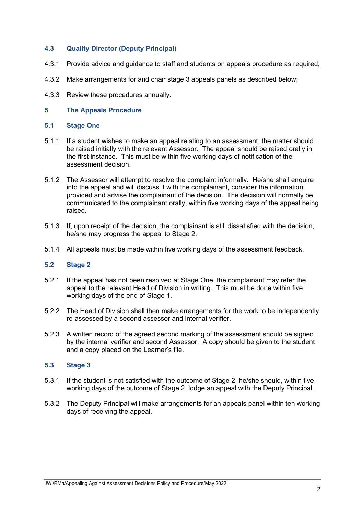# **4.3 Quality Director (Deputy Principal)**

- 4.3.1 Provide advice and guidance to staff and students on appeals procedure as required;
- 4.3.2 Make arrangements for and chair stage 3 appeals panels as described below;
- 4.3.3 Review these procedures annually.

## **5 The Appeals Procedure**

### **5.1 Stage One**

- 5.1.1 If a student wishes to make an appeal relating to an assessment, the matter should be raised initially with the relevant Assessor. The appeal should be raised orally in the first instance. This must be within five working days of notification of the assessment decision.
- 5.1.2 The Assessor will attempt to resolve the complaint informally. He/she shall enquire into the appeal and will discuss it with the complainant, consider the information provided and advise the complainant of the decision. The decision will normally be communicated to the complainant orally, within five working days of the appeal being raised.
- 5.1.3 If, upon receipt of the decision, the complainant is still dissatisfied with the decision, he/she may progress the appeal to Stage 2.
- 5.1.4 All appeals must be made within five working days of the assessment feedback.

## **5.2 Stage 2**

- 5.2.1 If the appeal has not been resolved at Stage One, the complainant may refer the appeal to the relevant Head of Division in writing. This must be done within five working days of the end of Stage 1.
- 5.2.2 The Head of Division shall then make arrangements for the work to be independently re-assessed by a second assessor and internal verifier.
- 5.2.3 A written record of the agreed second marking of the assessment should be signed by the internal verifier and second Assessor. A copy should be given to the student and a copy placed on the Learner's file.

# **5.3 Stage 3**

- 5.3.1 If the student is not satisfied with the outcome of Stage 2, he/she should, within five working days of the outcome of Stage 2, lodge an appeal with the Deputy Principal.
- 5.3.2 The Deputy Principal will make arrangements for an appeals panel within ten working days of receiving the appeal.